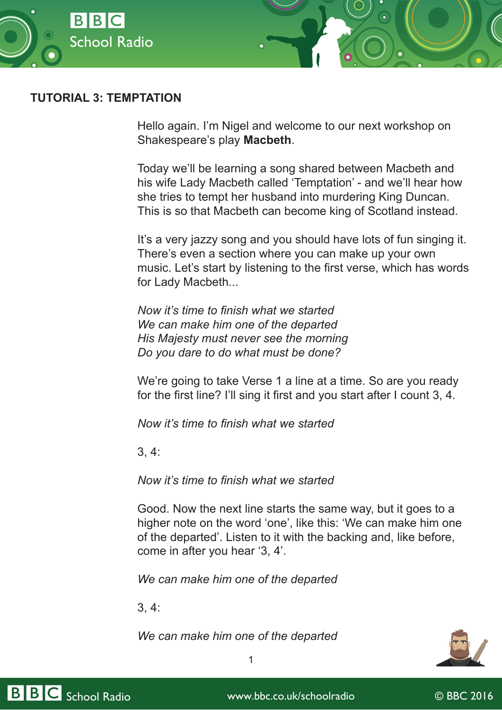

# **TUTORIAL 3: TEMPTATION**

Hello again. I'm Nigel and welcome to our next workshop on Shakespeare's play **Macbeth**.

Today we'll be learning a song shared between Macbeth and his wife Lady Macbeth called 'Temptation' - and we'll hear how she tries to tempt her husband into murdering King Duncan. This is so that Macbeth can become king of Scotland instead.

It's a very jazzy song and you should have lots of fun singing it. There's even a section where you can make up your own music. Let's start by listening to the first verse, which has words for Lady Macbeth...

*Now it's time to finish what we started We can make him one of the departed His Majesty must never see the morning Do you dare to do what must be done?*

We're going to take Verse 1 a line at a time. So are you ready for the first line? I'll sing it first and you start after I count 3, 4.

*Now it's time to finish what we started*

3, 4:

*Now it's time to finish what we started*

Good. Now the next line starts the same way, but it goes to a higher note on the word 'one', like this: 'We can make him one of the departed'. Listen to it with the backing and, like before, come in after you hear '3, 4'.

*We can make him one of the departed*

3, 4:

*We can make him one of the departed*



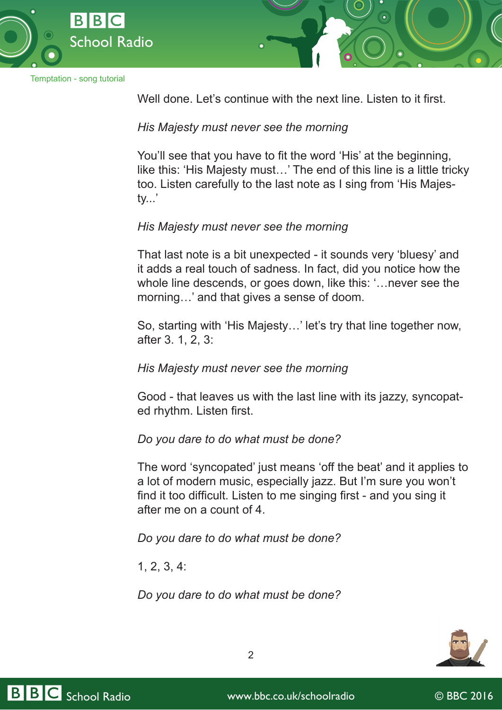

Well done. Let's continue with the next line. Listen to it first.

*His Majesty must never see the morning*

You'll see that you have to fit the word 'His' at the beginning, like this: 'His Majesty must…' The end of this line is a little tricky too. Listen carefully to the last note as I sing from 'His Majesty...'

# *His Majesty must never see the morning*

That last note is a bit unexpected - it sounds very 'bluesy' and it adds a real touch of sadness. In fact, did you notice how the whole line descends, or goes down, like this: '…never see the morning…' and that gives a sense of doom.

So, starting with 'His Majesty…' let's try that line together now, after 3. 1, 2, 3:

#### *His Majesty must never see the morning*

Good - that leaves us with the last line with its jazzy, syncopated rhythm. Listen first.

# *Do you dare to do what must be done?*

The word 'syncopated' just means 'off the beat' and it applies to a lot of modern music, especially jazz. But I'm sure you won't find it too difficult. Listen to me singing first - and you sing it after me on a count of 4.

*Do you dare to do what must be done?*

1, 2, 3, 4:

*Do you dare to do what must be done?*



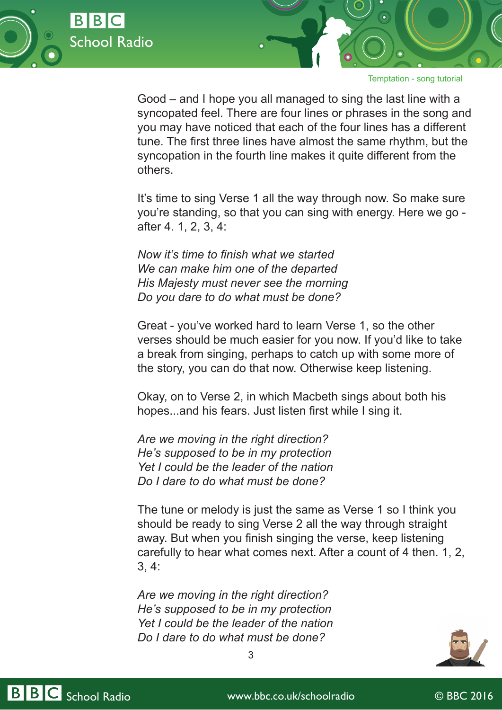

Good – and I hope you all managed to sing the last line with a syncopated feel. There are four lines or phrases in the song and you may have noticed that each of the four lines has a different tune. The first three lines have almost the same rhythm, but the syncopation in the fourth line makes it quite different from the others.

It's time to sing Verse 1 all the way through now. So make sure you're standing, so that you can sing with energy. Here we go after 4. 1, 2, 3, 4:

*Now it's time to finish what we started We can make him one of the departed His Majesty must never see the morning Do you dare to do what must be done?*

Great - you've worked hard to learn Verse 1, so the other verses should be much easier for you now. If you'd like to take a break from singing, perhaps to catch up with some more of the story, you can do that now. Otherwise keep listening.

Okay, on to Verse 2, in which Macbeth sings about both his hopes...and his fears. Just listen first while I sing it.

*Are we moving in the right direction? He's supposed to be in my protection Yet I could be the leader of the nation Do I dare to do what must be done?*

The tune or melody is just the same as Verse 1 so I think you should be ready to sing Verse 2 all the way through straight away. But when you finish singing the verse, keep listening carefully to hear what comes next. After a count of 4 then. 1, 2, 3, 4:

*Are we moving in the right direction? He's supposed to be in my protection Yet I could be the leader of the nation Do I dare to do what must be done?*





BBC School Radio www.bbc.co.uk/schoolradio © BBC 2016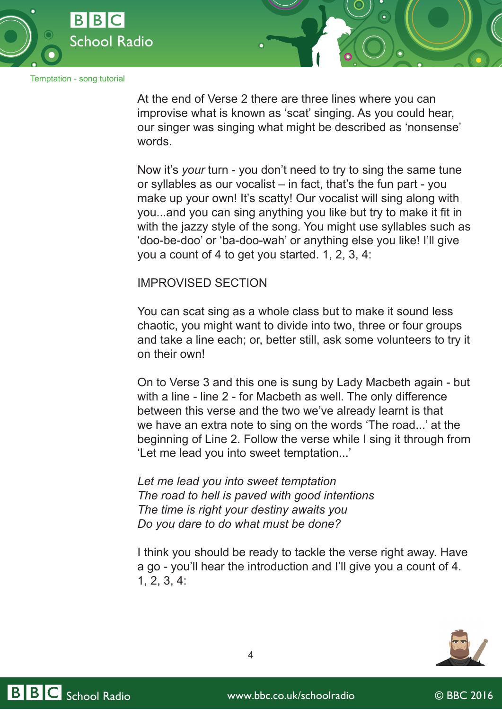

At the end of Verse 2 there are three lines where you can improvise what is known as 'scat' singing. As you could hear, our singer was singing what might be described as 'nonsense' words.

Now it's *your* turn - you don't need to try to sing the same tune or syllables as our vocalist – in fact, that's the fun part - you make up your own! It's scatty! Our vocalist will sing along with you...and you can sing anything you like but try to make it fit in with the jazzy style of the song. You might use syllables such as 'doo-be-doo' or 'ba-doo-wah' or anything else you like! I'll give you a count of 4 to get you started. 1, 2, 3, 4:

### IMPROVISED SECTION

You can scat sing as a whole class but to make it sound less chaotic, you might want to divide into two, three or four groups and take a line each; or, better still, ask some volunteers to try it on their own!

On to Verse 3 and this one is sung by Lady Macbeth again - but with a line - line 2 - for Macbeth as well. The only difference between this verse and the two we've already learnt is that we have an extra note to sing on the words 'The road...' at the beginning of Line 2. Follow the verse while I sing it through from 'Let me lead you into sweet temptation...'

*Let me lead you into sweet temptation The road to hell is paved with good intentions The time is right your destiny awaits you Do you dare to do what must be done?*

I think you should be ready to tackle the verse right away. Have a go - you'll hear the introduction and I'll give you a count of 4. 1, 2, 3, 4:



BBC School Radio www.bbc.co.uk/schoolradio © BBC 2016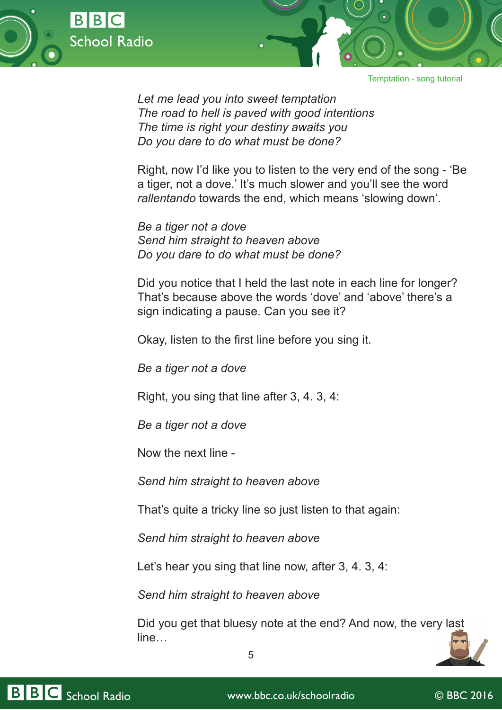



*Let me lead you into sweet temptation The road to hell is paved with good intentions The time is right your destiny awaits you Do you dare to do what must be done?*

Right, now I'd like you to listen to the very end of the song - 'Be a tiger, not a dove.' It's much slower and you'll see the word *rallentando* towards the end, which means 'slowing down'.

*Be a tiger not a dove Send him straight to heaven above Do you dare to do what must be done?*

Did you notice that I held the last note in each line for longer? That's because above the words 'dove' and 'above' there's a sign indicating a pause. Can you see it?

Okay, listen to the first line before you sing it.

*Be a tiger not a dove*

Right, you sing that line after 3, 4. 3, 4:

*Be a tiger not a dove*

Now the next line -

*Send him straight to heaven above*

That's quite a tricky line so just listen to that again:

*Send him straight to heaven above*

Let's hear you sing that line now, after 3, 4. 3, 4:

5

*Send him straight to heaven above*

Did you get that bluesy note at the end? And now, the very last line…